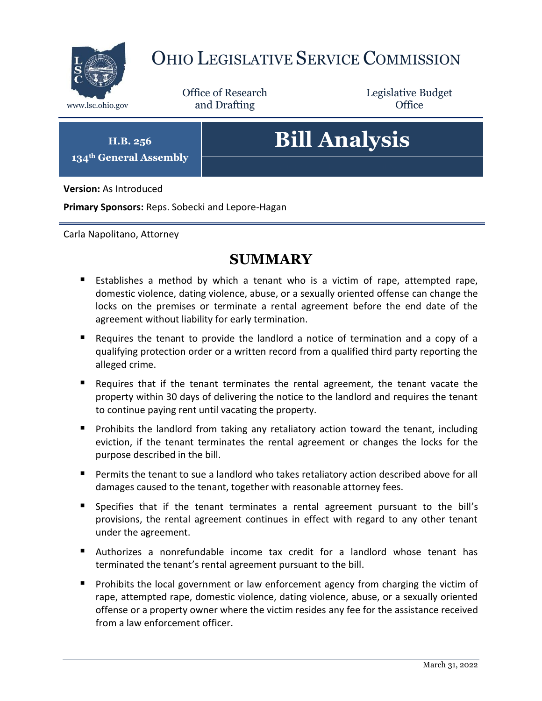

# OHIO LEGISLATIVE SERVICE COMMISSION

Office of Research www.lsc.ohio.gov **and Drafting Office** 

Legislative Budget

**H.B. 256 134th General Assembly**

# **Bill Analysis**

**Version:** As Introduced

**Primary Sponsors:** Reps. Sobecki and Lepore-Hagan

Carla Napolitano, Attorney

## **SUMMARY**

- Establishes a method by which a tenant who is a victim of rape, attempted rape, domestic violence, dating violence, abuse, or a sexually oriented offense can change the locks on the premises or terminate a rental agreement before the end date of the agreement without liability for early termination.
- Requires the tenant to provide the landlord a notice of termination and a copy of a qualifying protection order or a written record from a qualified third party reporting the alleged crime.
- Requires that if the tenant terminates the rental agreement, the tenant vacate the property within 30 days of delivering the notice to the landlord and requires the tenant to continue paying rent until vacating the property.
- **Prohibits the landlord from taking any retaliatory action toward the tenant, including** eviction, if the tenant terminates the rental agreement or changes the locks for the purpose described in the bill.
- Permits the tenant to sue a landlord who takes retaliatory action described above for all damages caused to the tenant, together with reasonable attorney fees.
- **Specifies that if the tenant terminates a rental agreement pursuant to the bill's** provisions, the rental agreement continues in effect with regard to any other tenant under the agreement.
- Authorizes a nonrefundable income tax credit for a landlord whose tenant has terminated the tenant's rental agreement pursuant to the bill.
- **Prohibits the local government or law enforcement agency from charging the victim of** rape, attempted rape, domestic violence, dating violence, abuse, or a sexually oriented offense or a property owner where the victim resides any fee for the assistance received from a law enforcement officer.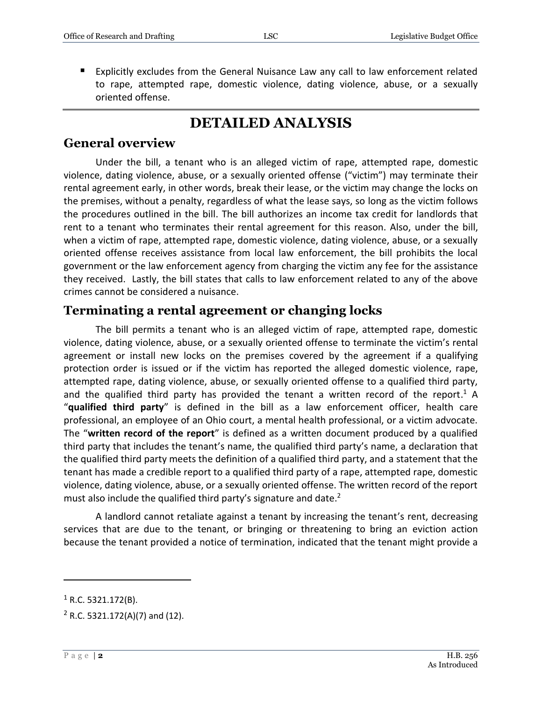Explicitly excludes from the General Nuisance Law any call to law enforcement related to rape, attempted rape, domestic violence, dating violence, abuse, or a sexually oriented offense.

# **DETAILED ANALYSIS**

#### **General overview**

Under the bill, a tenant who is an alleged victim of rape, attempted rape, domestic violence, dating violence, abuse, or a sexually oriented offense ("victim") may terminate their rental agreement early, in other words, break their lease, or the victim may change the locks on the premises, without a penalty, regardless of what the lease says, so long as the victim follows the procedures outlined in the bill. The bill authorizes an income tax credit for landlords that rent to a tenant who terminates their rental agreement for this reason. Also, under the bill, when a victim of rape, attempted rape, domestic violence, dating violence, abuse, or a sexually oriented offense receives assistance from local law enforcement, the bill prohibits the local government or the law enforcement agency from charging the victim any fee for the assistance they received. Lastly, the bill states that calls to law enforcement related to any of the above crimes cannot be considered a nuisance.

#### **Terminating a rental agreement or changing locks**

The bill permits a tenant who is an alleged victim of rape, attempted rape, domestic violence, dating violence, abuse, or a sexually oriented offense to terminate the victim's rental agreement or install new locks on the premises covered by the agreement if a qualifying protection order is issued or if the victim has reported the alleged domestic violence, rape, attempted rape, dating violence, abuse, or sexually oriented offense to a qualified third party, and the qualified third party has provided the tenant a written record of the report.<sup>1</sup> A "**qualified third party**" is defined in the bill as a law enforcement officer, health care professional, an employee of an Ohio court, a mental health professional, or a victim advocate. The "**written record of the report**" is defined as a written document produced by a qualified third party that includes the tenant's name, the qualified third party's name, a declaration that the qualified third party meets the definition of a qualified third party, and a statement that the tenant has made a credible report to a qualified third party of a rape, attempted rape, domestic violence, dating violence, abuse, or a sexually oriented offense. The written record of the report must also include the qualified third party's signature and date. $2$ 

A landlord cannot retaliate against a tenant by increasing the tenant's rent, decreasing services that are due to the tenant, or bringing or threatening to bring an eviction action because the tenant provided a notice of termination, indicated that the tenant might provide a

 $\overline{a}$ 

 $1$  R.C. 5321.172(B).

 $2$  R.C. 5321.172(A)(7) and (12).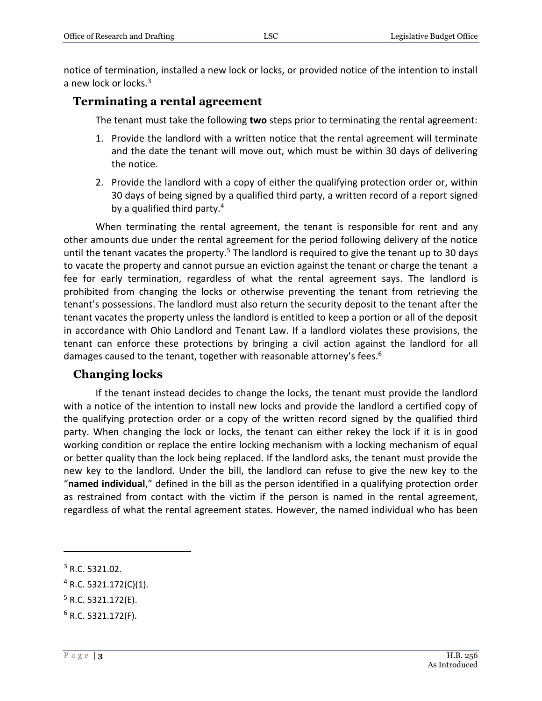notice of termination, installed a new lock or locks, or provided notice of the intention to install a new lock or locks.<sup>3</sup>

#### **Terminating a rental agreement**

The tenant must take the following **two** steps prior to terminating the rental agreement:

- 1. Provide the landlord with a written notice that the rental agreement will terminate and the date the tenant will move out, which must be within 30 days of delivering the notice.
- 2. Provide the landlord with a copy of either the qualifying protection order or, within 30 days of being signed by a qualified third party, a written record of a report signed by a qualified third party.<sup>4</sup>

When terminating the rental agreement, the tenant is responsible for rent and any other amounts due under the rental agreement for the period following delivery of the notice until the tenant vacates the property.<sup>5</sup> The landlord is required to give the tenant up to 30 days to vacate the property and cannot pursue an eviction against the tenant or charge the tenant a fee for early termination, regardless of what the rental agreement says. The landlord is prohibited from changing the locks or otherwise preventing the tenant from retrieving the tenant's possessions. The landlord must also return the security deposit to the tenant after the tenant vacates the property unless the landlord is entitled to keep a portion or all of the deposit in accordance with Ohio Landlord and Tenant Law. If a landlord violates these provisions, the tenant can enforce these protections by bringing a civil action against the landlord for all damages caused to the tenant, together with reasonable attorney's fees.<sup>6</sup>

#### **Changing locks**

If the tenant instead decides to change the locks, the tenant must provide the landlord with a notice of the intention to install new locks and provide the landlord a certified copy of the qualifying protection order or a copy of the written record signed by the qualified third party. When changing the lock or locks, the tenant can either rekey the lock if it is in good working condition or replace the entire locking mechanism with a locking mechanism of equal or better quality than the lock being replaced. If the landlord asks, the tenant must provide the new key to the landlord. Under the bill, the landlord can refuse to give the new key to the "**named individual**," defined in the bill as the person identified in a qualifying protection order as restrained from contact with the victim if the person is named in the rental agreement, regardless of what the rental agreement states. However, the named individual who has been

 $\overline{a}$ 

 $5$  R.C. 5321.172(E).

<sup>3</sup> R.C. 5321.02.

 $4$  R.C. 5321.172(C)(1).

 $6$  R.C. 5321.172(F).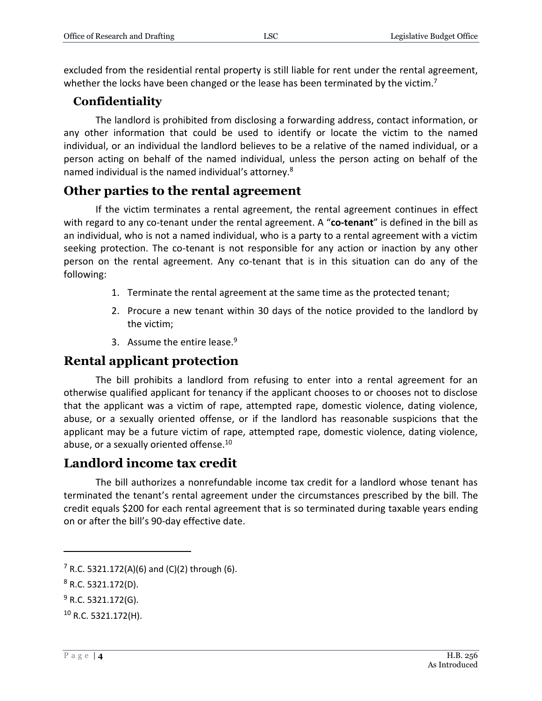excluded from the residential rental property is still liable for rent under the rental agreement, whether the locks have been changed or the lease has been terminated by the victim.<sup>7</sup>

#### **Confidentiality**

The landlord is prohibited from disclosing a forwarding address, contact information, or any other information that could be used to identify or locate the victim to the named individual, or an individual the landlord believes to be a relative of the named individual, or a person acting on behalf of the named individual, unless the person acting on behalf of the named individual is the named individual's attorney.<sup>8</sup>

#### **Other parties to the rental agreement**

If the victim terminates a rental agreement, the rental agreement continues in effect with regard to any co-tenant under the rental agreement. A "**co-tenant**" is defined in the bill as an individual, who is not a named individual, who is a party to a rental agreement with a victim seeking protection. The co-tenant is not responsible for any action or inaction by any other person on the rental agreement. Any co-tenant that is in this situation can do any of the following:

- 1. Terminate the rental agreement at the same time as the protected tenant;
- 2. Procure a new tenant within 30 days of the notice provided to the landlord by the victim;
- 3. Assume the entire lease.<sup>9</sup>

#### **Rental applicant protection**

The bill prohibits a landlord from refusing to enter into a rental agreement for an otherwise qualified applicant for tenancy if the applicant chooses to or chooses not to disclose that the applicant was a victim of rape, attempted rape, domestic violence, dating violence, abuse, or a sexually oriented offense, or if the landlord has reasonable suspicions that the applicant may be a future victim of rape, attempted rape, domestic violence, dating violence, abuse, or a sexually oriented offense.<sup>10</sup>

#### **Landlord income tax credit**

The bill authorizes a nonrefundable income tax credit for a landlord whose tenant has terminated the tenant's rental agreement under the circumstances prescribed by the bill. The credit equals \$200 for each rental agreement that is so terminated during taxable years ending on or after the bill's 90-day effective date.

 $\overline{a}$ 

 $7$  R.C. 5321.172(A)(6) and (C)(2) through (6).

 $8$  R.C. 5321.172(D).

 $9$  R.C. 5321.172(G).

 $10$  R.C. 5321.172(H).